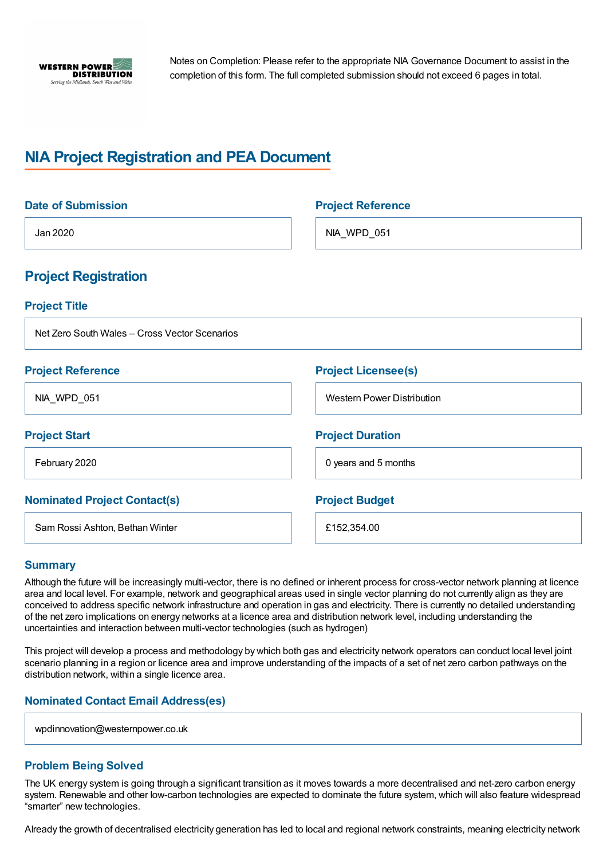

Notes on Completion: Please refer to the appropriate NIA Governance Document to assist in the completion of this form. The full completed submission should not exceed 6 pages in total.

# **NIA Project Registration and PEA Document**

| <b>Date of Submission</b>                     | <b>Project Reference</b>          |
|-----------------------------------------------|-----------------------------------|
| Jan 2020                                      | NIA_WPD_051                       |
| <b>Project Registration</b>                   |                                   |
| <b>Project Title</b>                          |                                   |
| Net Zero South Wales - Cross Vector Scenarios |                                   |
| <b>Project Reference</b>                      | <b>Project Licensee(s)</b>        |
| NIA_WPD_051                                   | <b>Western Power Distribution</b> |
| <b>Project Start</b>                          | <b>Project Duration</b>           |
| February 2020                                 | 0 years and 5 months              |
| <b>Nominated Project Contact(s)</b>           | <b>Project Budget</b>             |
| Sam Rossi Ashton, Bethan Winter               | £152,354.00                       |

## **Summary**

Although the future will be increasingly multi-vector, there is no defined or inherent process for cross-vector network planning at licence area and local level. For example, network and geographical areas used in single vector planning do not currently align as they are conceived to address specific network infrastructure and operation in gas and electricity. There is currently no detailed understanding of the net zero implications on energy networks at a licence area and distribution network level, including understanding the uncertainties and interaction between multi-vector technologies (such as hydrogen)

This project will develop a process and methodology by which both gas and electricity network operators can conduct local level joint scenario planning in a region or licence area and improve understanding of the impacts of a set of net zero carbon pathways on the distribution network, within a single licence area.

## **Nominated Contact Email Address(es)**

wpdinnovation@westernpower.co.uk

#### **Problem Being Solved**

The UK energy system is going through a significant transition as it moves towards a more decentralised and net-zero carbon energy system. Renewable and other low-carbon technologies are expected to dominate the future system, which will also feature widespread "smarter" new technologies.

Already the growth of decentralised electricity generation has led to local and regional network constraints, meaning electricity network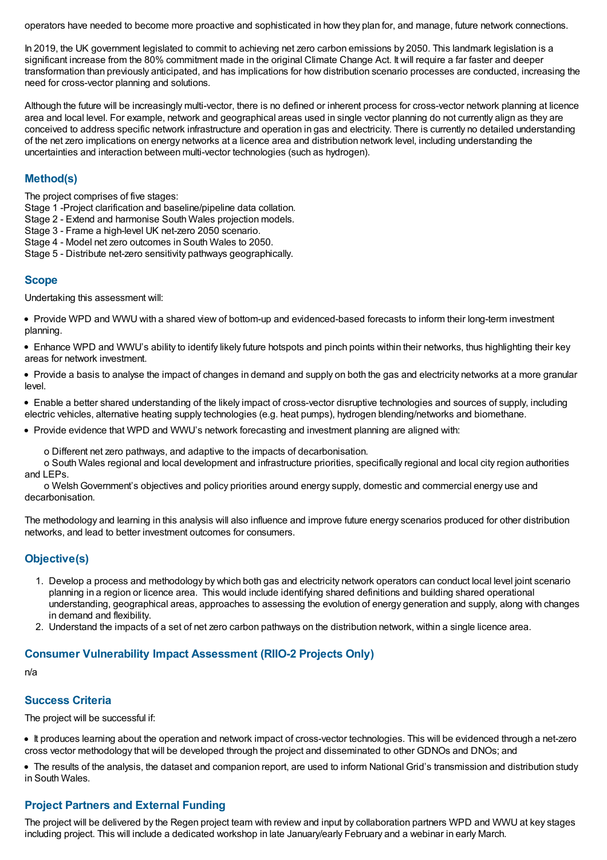operators have needed to become more proactive and sophisticated in how they plan for, and manage, future network connections.

In 2019, the UK government legislated to commit to achieving net zero carbon emissions by 2050. This landmark legislation is a significant increase from the 80% commitment made in the original Climate Change Act. It will require a far faster and deeper transformation than previously anticipated, and has implications for how distribution scenario processes are conducted, increasing the need for cross-vector planning and solutions.

Although the future will be increasingly multi-vector, there is no defined or inherent process for cross-vector network planning at licence area and local level. For example, network and geographical areas used in single vector planning do not currently align as they are conceived to address specific network infrastructure and operation in gas and electricity. There is currently no detailed understanding of the net zero implications on energy networks at a licence area and distribution network level, including understanding the uncertainties and interaction between multi-vector technologies (such as hydrogen).

## **Method(s)**

The project comprises of five stages:

Stage 1 -Project clarification and baseline/pipeline data collation.

Stage 2 - Extend and harmonise South Wales projection models.

- Stage 3 Frame a high-level UK net-zero 2050 scenario.
- Stage 4 Model net zero outcomes in South Wales to 2050.
- Stage 5 Distribute net-zero sensitivity pathways geographically.

## **Scope**

Undertaking this assessment will:

Provide WPD and WWU with a shared view of bottom-up and evidenced-based forecasts to inform their long-term investment planning.

Enhance WPD and WWU's ability to identify likely future hotspots and pinch points within their networks, thus highlighting their key areas for network investment.

Provide a basis to analyse the impact of changes in demand and supply on both the gas and electricity networks at a more granular level.

Enable a better shared understanding of the likely impact of cross-vector disruptive technologies and sources of supply, including electric vehicles, alternative heating supply technologies (e.g. heat pumps), hydrogen blending/networks and biomethane.

• Provide evidence that WPD and WWU's network forecasting and investment planning are aligned with:

o Different net zero pathways, and adaptive to the impacts of decarbonisation.

o South Wales regional and local development and infrastructure priorities, specifically regional and local city region authorities and LEPs.

o WelshGovernment's objectives and policy priorities around energy supply, domestic and commercial energy use and decarbonisation.

The methodology and learning in this analysis will also influence and improve future energy scenarios produced for other distribution networks, and lead to better investment outcomes for consumers.

## **Objective(s)**

- 1. Develop a process and methodology by which both gas and electricity network operators can conduct local level joint scenario planning in a region or licence area. This would include identifying shared definitions and building shared operational understanding, geographical areas, approaches to assessing the evolution of energy generation and supply, along with changes in demand and flexibility.
- 2. Understand the impacts of a set of net zero carbon pathways on the distribution network, within a single licence area.

#### **Consumer Vulnerability Impact Assessment (RIIO-2 Projects Only)**

n/a

#### **Success Criteria**

The project will be successful if:

It produces learning about the operation and network impact of cross-vector technologies. This will be evidenced through a net-zero cross vector methodology that will be developed through the project and disseminated to other GDNOs and DNOs; and

The results of the analysis, the dataset and companion report, are used to inform National Grid's transmission and distribution study in South Wales.

## **Project Partners and External Funding**

The project will be delivered by the Regen project team with review and input by collaboration partners WPD and WWU at key stages including project. This will include a dedicated workshop in late January/early February and a webinar in early March.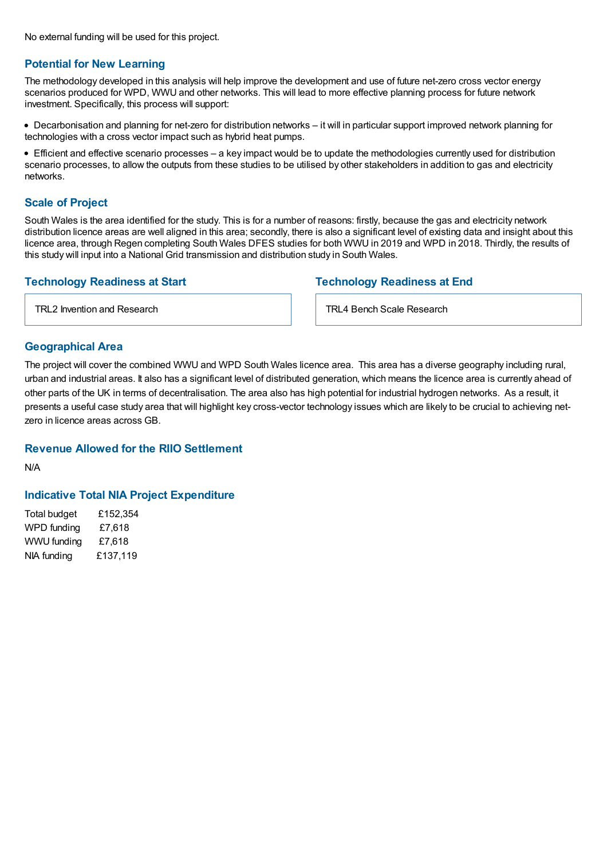No external funding will be used for this project.

#### **Potential for New Learning**

The methodology developed in this analysis will help improve the development and use of future net-zero cross vector energy scenarios produced for WPD, WWU and other networks. This will lead to more effective planning process for future network investment. Specifically, this process will support:

Decarbonisation and planning for net-zero for distribution networks – it will in particular support improved network planning for technologies with a cross vector impact such as hybrid heat pumps.

Efficient and effective scenario processes – a key impact would be to update the methodologies currently used for distribution scenario processes, to allow the outputs from these studies to be utilised by other stakeholders in addition to gas and electricity networks.

## **Scale of Project**

South Wales is the area identified for the study. This is for a number of reasons: firstly, because the gas and electricity network distribution licence areas are well aligned in this area; secondly, there is also a significant level of existing data and insight about this licence area, through Regen completing South Wales DFES studies for both WWU in 2019 and WPD in 2018. Thirdly, the results of this study will input into a National Grid transmission and distribution study in South Wales.

## **Technology Readiness at Start**

TRL2 Invention and Research

## **Technology Readiness at End**

TRL4 Bench Scale Research

### **Geographical Area**

The project will cover the combined WWU and WPD South Wales licence area. This area has a diverse geography including rural, urban and industrial areas. It also has a significant level of distributed generation, which means the licence area is currently ahead of other parts of the UK in terms of decentralisation. The area also has high potential for industrial hydrogen networks. As a result, it presents a useful case study area that will highlight key cross-vector technology issues which are likely to be crucial to achieving netzero in licence areas across GB.

## **Revenue Allowed for the RIIO Settlement**

N/A

## **Indicative Total NIA Project Expenditure**

Total budget £152,354 WPD funding £7,618 WWU funding £7,618 NIA funding £137,119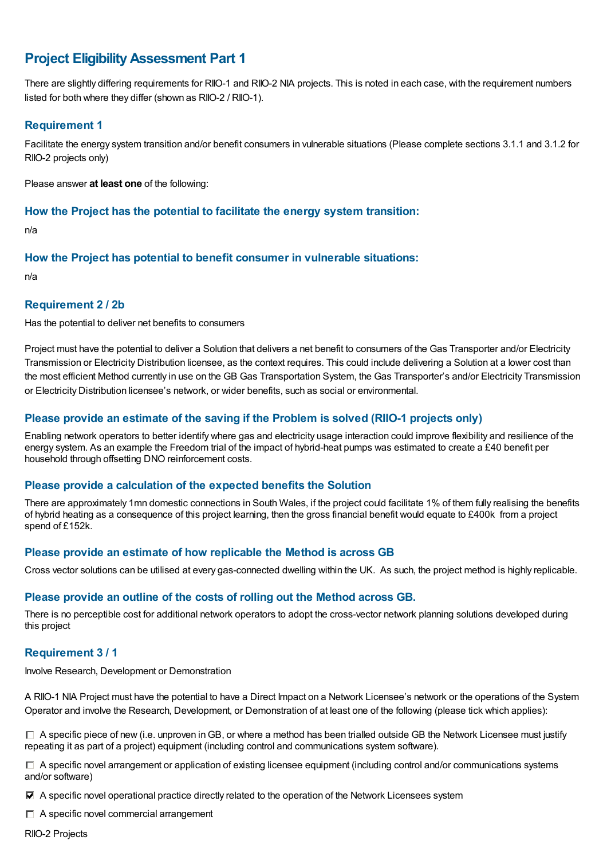## **Project EligibilityAssessment Part 1**

There are slightly differing requirements for RIIO-1 and RIIO-2 NIA projects. This is noted in each case, with the requirement numbers listed for both where they differ (shown as RIIO-2 / RIIO-1).

### **Requirement 1**

Facilitate the energy system transition and/or benefit consumers in vulnerable situations (Please complete sections 3.1.1 and 3.1.2 for RIIO-2 projects only)

Please answer **at least one** of the following:

#### **How the Project has the potential to facilitate the energy system transition:**

n/a

### **How the Project has potential to benefit consumer in vulnerable situations:**

n/a

### **Requirement 2 / 2b**

Has the potential to deliver net benefits to consumers

Project must have the potential to deliver a Solution that delivers a net benefit to consumers of the Gas Transporter and/or Electricity Transmission or Electricity Distribution licensee, as the context requires. This could include delivering a Solution at a lower cost than the most efficient Method currently in use on the GB Gas Transportation System, the Gas Transporter's and/or Electricity Transmission or Electricity Distribution licensee's network, or wider benefits, such as social or environmental.

## **Please provide an estimate of the saving if the Problem is solved (RIIO-1 projects only)**

Enabling network operators to better identify where gas and electricity usage interaction could improve flexibility and resilience of the energy system. As an example the Freedom trial of the impact of hybrid-heat pumps was estimated to create a £40 benefit per household through offsetting DNO reinforcement costs.

#### **Please provide a calculation of the expected benefits the Solution**

There are approximately 1mn domestic connections in South Wales, if the project could facilitate 1% of them fully realising the benefits of hybrid heating as a consequence of this project learning, then the gross financial benefit would equate to £400k from a project spend of £152k.

## **Please provide an estimate of how replicable the Method is across GB**

Cross vector solutions can be utilised at every gas-connected dwelling within the UK. As such, the project method is highly replicable.

#### **Please provide an outline of the costs of rolling out the Method across GB.**

There is no perceptible cost for additional network operators to adopt the cross-vector network planning solutions developed during this project

## **Requirement 3 / 1**

Involve Research, Development or Demonstration

A RIIO-1 NIA Project must have the potential to have a Direct Impact on a Network Licensee's network or the operations of the System Operator and involve the Research, Development, or Demonstration of at least one of the following (please tick which applies):

 $\Box$  A specific piece of new (i.e. unproven in GB, or where a method has been trialled outside GB the Network Licensee must justify repeating it as part of a project) equipment (including control and communications system software).

 $\Box$  A specific novel arrangement or application of existing licensee equipment (including control and/or communications systems and/or software)

A specific novel operational practice directly related to the operation of the Network Licensees system

 $\Box$  A specific novel commercial arrangement

RIIO-2 Projects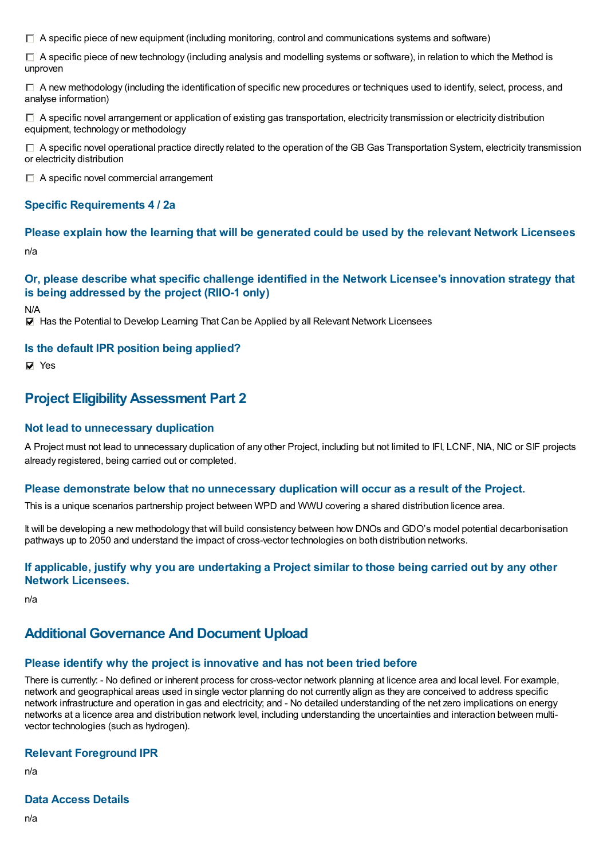$\Box$  A specific piece of new equipment (including monitoring, control and communications systems and software)

 $\Box$  A specific piece of new technology (including analysis and modelling systems or software), in relation to which the Method is unproven

 $\Box$  A new methodology (including the identification of specific new procedures or techniques used to identify, select, process, and analyse information)

 $\Box$  A specific novel arrangement or application of existing gas transportation, electricity transmission or electricity distribution equipment, technology or methodology

 $\Box$  A specific novel operational practice directly related to the operation of the GB Gas Transportation System, electricity transmission or electricity distribution

 $\Box$  A specific novel commercial arrangement

### **Specific Requirements 4 / 2a**

#### **Please explain how the learning that will be generated could be used by the relevant Network Licensees**

n/a

## **Or, please describe what specific challenge identified in the Network Licensee's innovation strategy that is being addressed by the project (RIIO-1 only)**

N/A

 $\nabla$  Has the Potential to Develop Learning That Can be Applied by all Relevant Network Licensees

#### **Is the default IPR position being applied?**

**Ves** 

## **Project EligibilityAssessment Part 2**

#### **Not lead to unnecessary duplication**

A Project must not lead to unnecessary duplication of any other Project, including but not limited to IFI, LCNF, NIA, NIC or SIF projects already registered, being carried out or completed.

#### **Please demonstrate below that no unnecessary duplication will occur as a result of the Project.**

This is a unique scenarios partnership project between WPD and WWU covering a shared distribution licence area.

It will be developing a new methodology that will build consistency between how DNOs and GDO's model potential decarbonisation pathways up to 2050 and understand the impact of cross-vector technologies on both distribution networks.

#### If applicable, justify why you are undertaking a Project similar to those being carried out by any other **Network Licensees.**

n/a

## **Additional Governance And Document Upload**

#### **Please identify why the project is innovative and has not been tried before**

There is currently: - No defined or inherent process for cross-vector network planning at licence area and local level. For example, network and geographical areas used in single vector planning do not currently align as they are conceived to address specific network infrastructure and operation in gas and electricity; and - No detailed understanding of the net zero implications on energy networks at a licence area and distribution network level, including understanding the uncertainties and interaction between multivector technologies (such as hydrogen).

#### **Relevant Foreground IPR**

n/a

#### **Data Access Details**